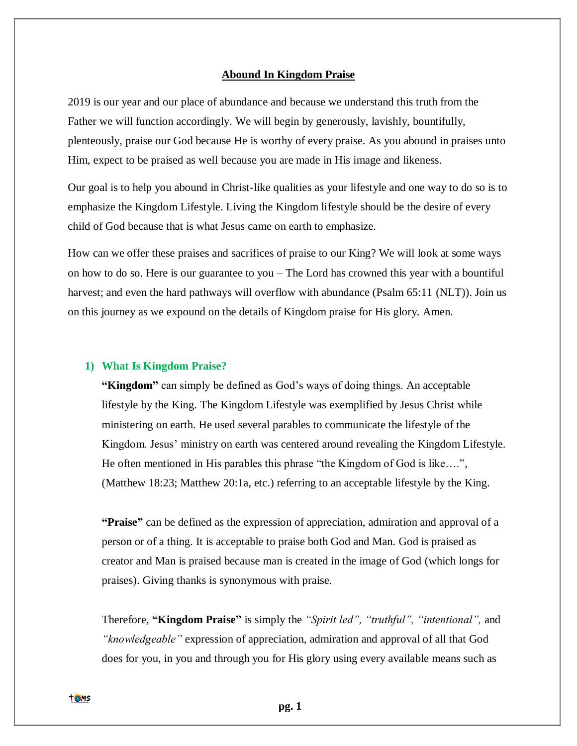#### **Abound In Kingdom Praise**

2019 is our year and our place of abundance and because we understand this truth from the Father we will function accordingly. We will begin by generously, lavishly, bountifully, plenteously, praise our God because He is worthy of every praise. As you abound in praises unto Him, expect to be praised as well because you are made in His image and likeness.

Our goal is to help you abound in Christ-like qualities as your lifestyle and one way to do so is to emphasize the Kingdom Lifestyle. Living the Kingdom lifestyle should be the desire of every child of God because that is what Jesus came on earth to emphasize.

How can we offer these praises and sacrifices of praise to our King? We will look at some ways on how to do so. Here is our guarantee to you – The Lord has crowned this year with a bountiful harvest; and even the hard pathways will overflow with abundance (Psalm 65:11 (NLT)). Join us on this journey as we expound on the details of Kingdom praise for His glory. Amen.

#### **1) What Is Kingdom Praise?**

**"Kingdom"** can simply be defined as God's ways of doing things. An acceptable lifestyle by the King. The Kingdom Lifestyle was exemplified by Jesus Christ while ministering on earth. He used several parables to communicate the lifestyle of the Kingdom. Jesus' ministry on earth was centered around revealing the Kingdom Lifestyle. He often mentioned in His parables this phrase "the Kingdom of God is like….", (Matthew 18:23; Matthew 20:1a, etc.) referring to an acceptable lifestyle by the King.

**"Praise"** can be defined as the expression of appreciation, admiration and approval of a person or of a thing. It is acceptable to praise both God and Man. God is praised as creator and Man is praised because man is created in the image of God (which longs for praises). Giving thanks is synonymous with praise.

Therefore, **"Kingdom Praise"** is simply the *"Spirit led", "truthful", "intentional",* and *"knowledgeable"* expression of appreciation, admiration and approval of all that God does for you, in you and through you for His glory using every available means such as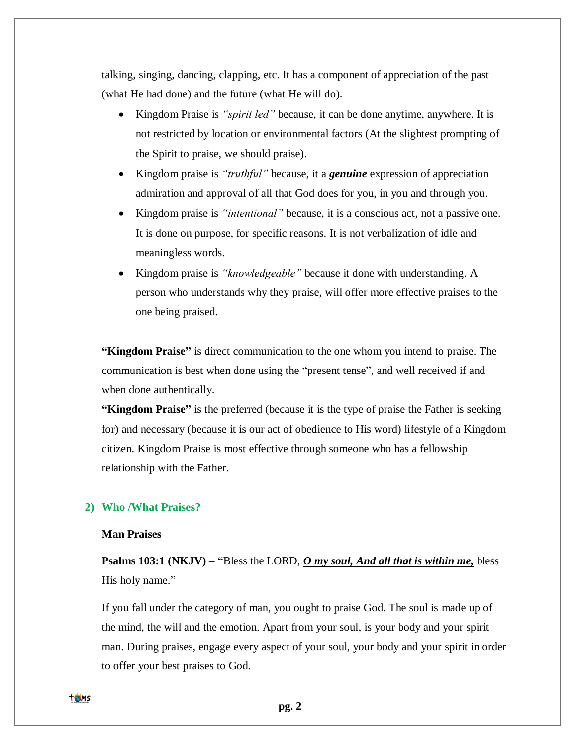talking, singing, dancing, clapping, etc. It has a component of appreciation of the past (what He had done) and the future (what He will do).

- Kingdom Praise is *"spirit led"* because, it can be done anytime, anywhere. It is not restricted by location or environmental factors (At the slightest prompting of the Spirit to praise, we should praise).
- Kingdom praise is *"truthful"* because, it a *genuine* expression of appreciation admiration and approval of all that God does for you, in you and through you.
- Kingdom praise is *"intentional"* because, it is a conscious act, not a passive one. It is done on purpose, for specific reasons. It is not verbalization of idle and meaningless words.
- Kingdom praise is *"knowledgeable"* because it done with understanding. A person who understands why they praise, will offer more effective praises to the one being praised.

**"Kingdom Praise"** is direct communication to the one whom you intend to praise. The communication is best when done using the "present tense", and well received if and when done authentically.

**"Kingdom Praise"** is the preferred (because it is the type of praise the Father is seeking for) and necessary (because it is our act of obedience to His word) lifestyle of a Kingdom citizen. Kingdom Praise is most effective through someone who has a fellowship relationship with the Father.

# **2) Who /What Praises?**

# **Man Praises**

**[Psalms](https://bible.knowing-jesus.com/Psalm/103/1) 103:1 (NKJV) – "**Bless the LORD, *O my soul, And all that is within me,* bless His holy name."

If you fall under the category of man, you ought to praise God. The soul is made up of the mind, the will and the emotion. Apart from your soul, is your body and your spirit man. During praises, engage every aspect of your soul, your body and your spirit in order to offer your best praises to God.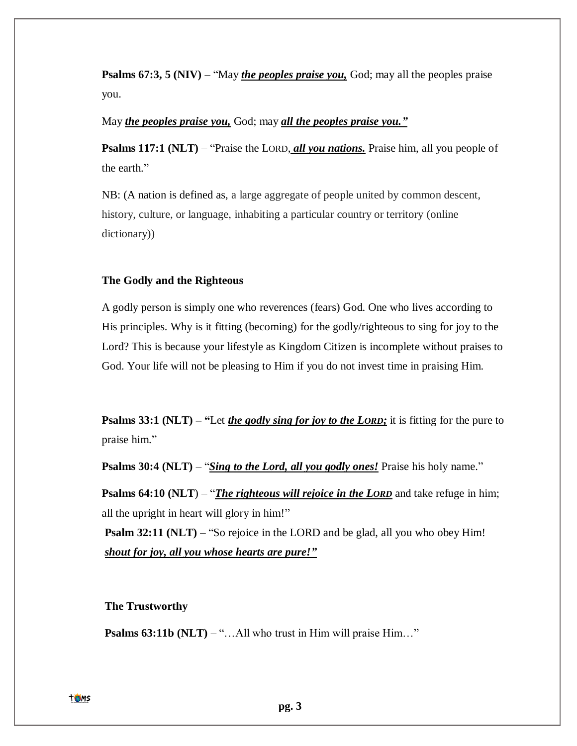**Psalms 67:3, 5 (NIV)** – "May *the peoples praise you*, God; may all the peoples praise you.

May *the peoples praise you,* God; may *all the peoples praise you."*

**Psalms 117:1 (NLT)** – "Praise the LORD, *all you nations*. Praise him, all you people of the earth."

NB: (A nation is defined as, a large aggregate of people united by common descent, history, culture, or language, inhabiting a particular country or territory (online dictionary))

### **The Godly and the Righteous**

A godly person is simply one who reverences (fears) God. One who lives according to His principles. Why is it fitting (becoming) for the godly/righteous to sing for joy to the Lord? This is because your lifestyle as Kingdom Citizen is incomplete without praises to God. Your life will not be pleasing to Him if you do not invest time in praising Him.

**Psalms 33:1 (NLT) – "**Let *the godly sing for joy to the LORD;* it is fitting for the pure to praise him."

**Psalms 30:4 (NLT)** – "*Sing to the Lord, all you godly ones!* Praise his holy name."

**Psalms 64:10 (NLT)** – "*The righteous will rejoice in the LORD* and take refuge in him; all the upright in heart will glory in him!"

**Psalm 32:11 (NLT)** – "So rejoice in the LORD and be glad, all you who obey Him! *shout for joy, all you whose hearts are pure!"*

### **The Trustworthy**

**Psalms 63:11b (NLT)** – "...All who trust in Him will praise Him..."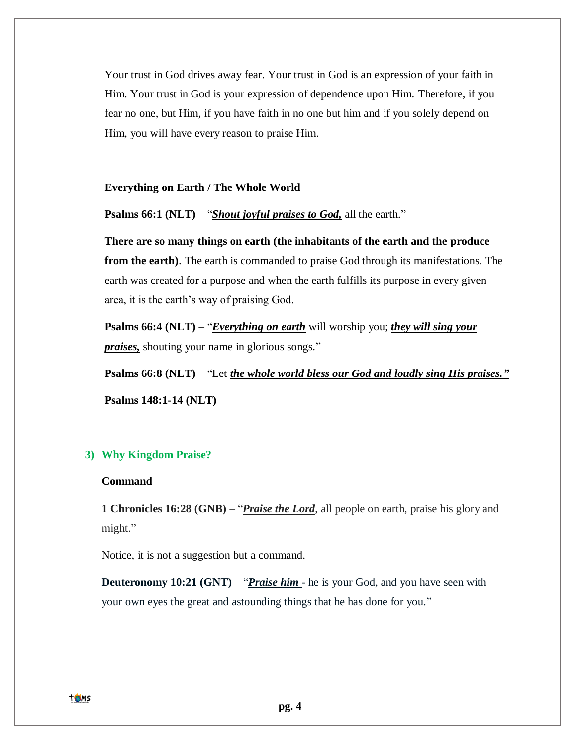Your trust in God drives away fear. Your trust in God is an expression of your faith in Him. Your trust in God is your expression of dependence upon Him. Therefore, if you fear no one, but Him, if you have faith in no one but him and if you solely depend on Him, you will have every reason to praise Him.

### **Everything on Earth / The Whole World**

# **Psalms 66:1 (NLT)** – "*Shout joyful praises to God*, all the earth."

**There are so many things on earth (the inhabitants of the earth and the produce from the earth**). The earth is commanded to praise God through its manifestations. The earth was created for a purpose and when the earth fulfills its purpose in every given area, it is the earth's way of praising God.

**Psalms 66:4 (NLT)** – "*Everything on earth* will worship you; *they will sing your praises,* shouting your name in glorious songs."

**Psalms 66:8 (NLT)** – "Let *the whole world bless our God and loudly sing His praises."* **Psalms 148:1-14 (NLT)** 

# **3) Why Kingdom Praise?**

# **Command**

**1 Chronicles 16:28 (GNB)** – "*Praise the Lord*, all people on earth, praise his glory and might."

Notice, it is not a suggestion but a command.

**Deuteronomy 10:21 (GNT) – "***Praise him* - he is your God, and you have seen with your own eyes the great and astounding things that he has done for you."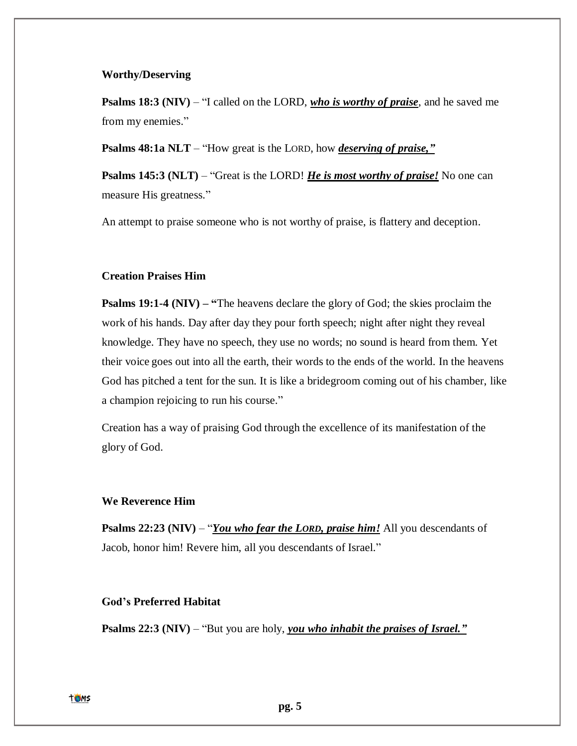### **Worthy/Deserving**

**Psalms 18:3 (NIV)** – "I called on the LORD, *who is worthy of praise*, and he saved me from my enemies."

**Psalms 48:1a NLT** – "How great is the LORD, how *deserving of praise,"*

**Psalms 145:3 (NLT)** – "Great is the LORD! *He is most worthy of praise!* No one can measure His greatness."

An attempt to praise someone who is not worthy of praise, is flattery and deception.

# **Creation Praises Him**

**Psalms 19:1-4 (NIV) – "**The heavens declare the glory of God; the skies proclaim the work of his hands. Day after day they pour forth speech; night after night they reveal knowledge. They have no speech, they use no words; no sound is heard from them. Yet their voice goes out into all the earth, their words to the ends of the world. In the heavens God has pitched a tent for the sun. It is like a bridegroom coming out of his chamber, like a champion rejoicing to run his course."

Creation has a way of praising God through the excellence of its manifestation of the glory of God.

### **We Reverence Him**

**Psalms 22:23 (NIV)** – "*You who fear the LORD*, *praise him!* All you descendants of Jacob, honor him! Revere him, all you descendants of Israel."

# **God's Preferred Habitat**

**Psalms 22:3 (NIV)** – "But you are holy, *you who inhabit the praises of Israel."*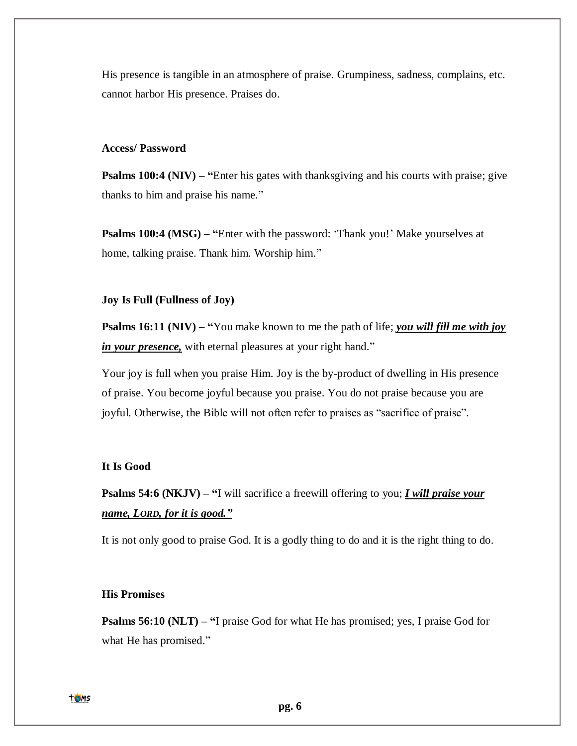His presence is tangible in an atmosphere of praise. Grumpiness, sadness, complains, etc. cannot harbor His presence. Praises do.

#### **Access/ Password**

**Psalms 100:4 (NIV) – "Enter his gates with thanksgiving and his courts with praise; give** thanks to him and praise his name."

**Psalms 100:4 (MSG) – "**Enter with the password: 'Thank you!' Make yourselves at home, talking praise. Thank him. Worship him."

### **Joy Is Full (Fullness of Joy)**

**Psalms 16:11 (NIV) – "**You make known to me the path of life; *you will fill me with joy in your presence*, with eternal pleasures at your right hand."

Your joy is full when you praise Him. Joy is the by-product of dwelling in His presence of praise. You become joyful because you praise. You do not praise because you are joyful. Otherwise, the Bible will not often refer to praises as "sacrifice of praise".

# **It Is Good**

**Psalms 54:6 (NKJV) – "**I will sacrifice a freewill offering to you; *I will praise your name, LORD, for it is good."*

It is not only good to praise God. It is a godly thing to do and it is the right thing to do.

### **His Promises**

**Psalms 56:10 (NLT) – "**I praise God for what He has promised; yes, I praise God for what He has promised."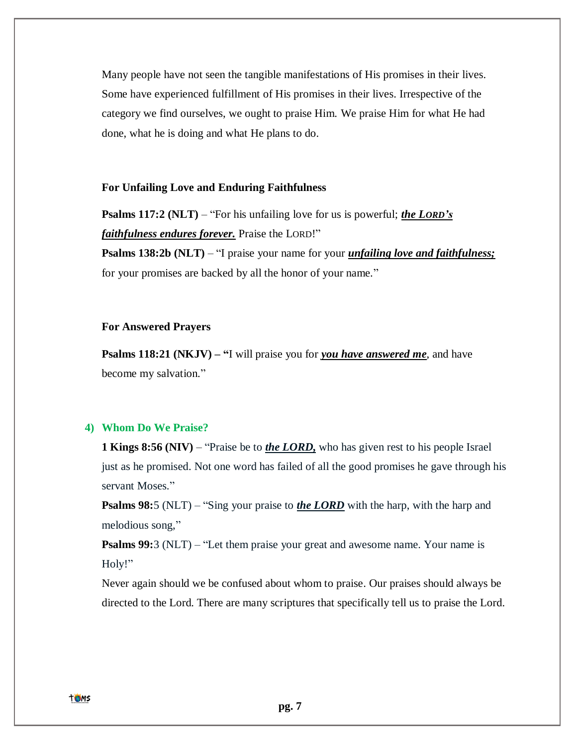Many people have not seen the tangible manifestations of His promises in their lives. Some have experienced fulfillment of His promises in their lives. Irrespective of the category we find ourselves, we ought to praise Him. We praise Him for what He had done, what he is doing and what He plans to do.

### **For Unfailing Love and Enduring Faithfulness**

**Psalms 117:2 (NLT)** – "For his unfailing love for us is powerful; *the LORD's faithfulness endures forever.* Praise the LORD!"

**Psalms 138:2b (NLT)** – "I praise your name for your *unfailing love and faithfulness;* for your promises are backed by all the honor of your name."

# **For Answered Prayers**

**Psalms 118:21 (NKJV) – "I** will praise you for *you have answered me*, and have become my salvation."

### **4) Whom Do We Praise?**

**1 Kings 8:56 (NIV)** – "Praise be to *the LORD*, who has given rest to his people Israel just as he promised. Not one word has failed of all the good promises he gave through his servant Moses."

**Psalms 98:**5 (NLT) – "Sing your praise to *the LORD* with the harp, with the harp and melodious song,"

**Psalms 99:**3 (NLT) – "Let them praise your great and awesome name. Your name is Holy!"

Never again should we be confused about whom to praise. Our praises should always be directed to the Lord. There are many scriptures that specifically tell us to praise the Lord.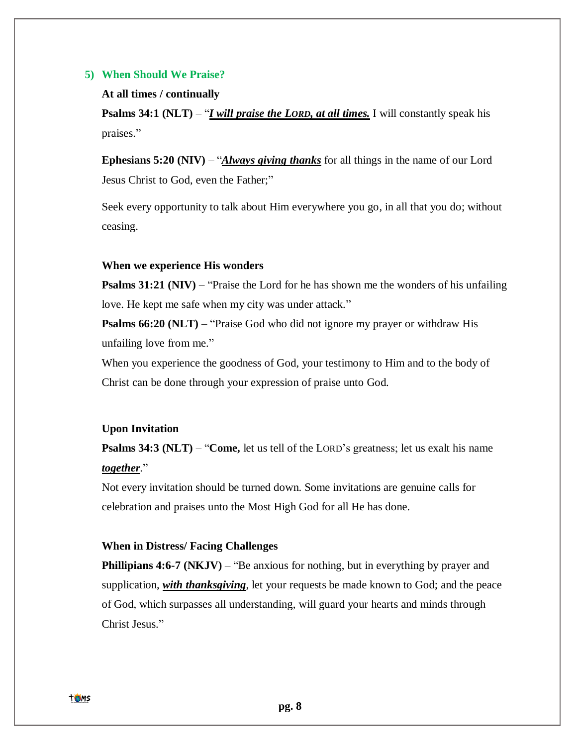# **5) When Should We Praise?**

#### **At all times / continually**

**Psalms 34:1 (NLT)** – "*I will praise the LORD, at all times.* I will constantly speak his praises."

**Ephesians 5:20 (NIV)** – "*Always giving thanks* for all things in the name of our Lord Jesus Christ to God, even the Father;"

Seek every opportunity to talk about Him everywhere you go, in all that you do; without ceasing.

### **When we experience His wonders**

**Psalms 31:21 (NIV)** – "Praise the Lord for he has shown me the wonders of his unfailing love. He kept me safe when my city was under attack."

**Psalms 66:20 (NLT)** – "Praise God who did not ignore my prayer or withdraw His unfailing love from me."

When you experience the goodness of God, your testimony to Him and to the body of Christ can be done through your expression of praise unto God.

### **Upon Invitation**

**Psalms 34:3 (NLT) – "Come,** let us tell of the LORD's greatness; let us exalt his name *together*."

Not every invitation should be turned down. Some invitations are genuine calls for celebration and praises unto the Most High God for all He has done.

# **When in Distress/ Facing Challenges**

**Phillipians 4:6-7 (NKJV) – "Be anxious for nothing, but in everything by prayer and** supplication, *with thanksgiving*, let your requests be made known to God; and the peace of God, which surpasses all understanding, will guard your hearts and minds through Christ Jesus."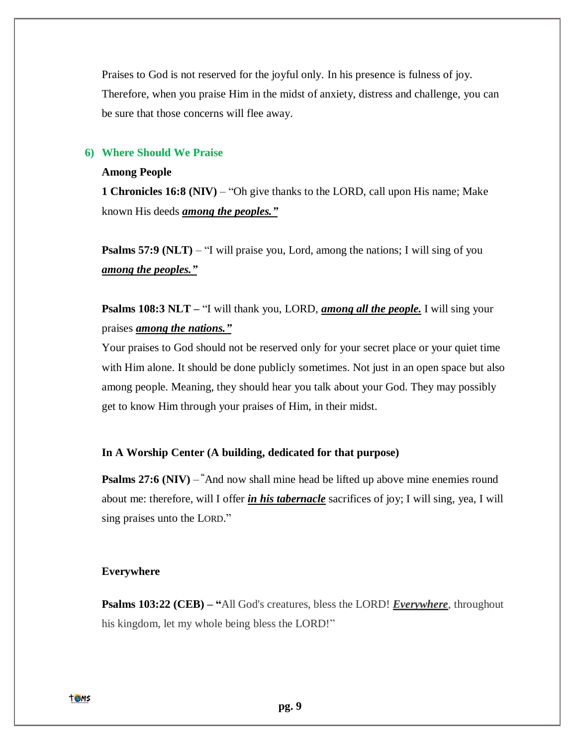Praises to God is not reserved for the joyful only. In his presence is fulness of joy. Therefore, when you praise Him in the midst of anxiety, distress and challenge, you can be sure that those concerns will flee away.

# **6) Where Should We Praise**

### **Among People**

**1 Chronicles 16:8 (NIV)** – "Oh give thanks to the LORD, call upon His name; Make known His deeds *among the peoples."*

**Psalms 57:9 (NLT)** – "I will praise you, Lord, among the nations; I will sing of you *among the peoples."*

**Psalms 108:3 NLT** – "I will thank you, LORD, *among all the people*. I will sing your praises *among the nations."*

Your praises to God should not be reserved only for your secret place or your quiet time with Him alone. It should be done publicly sometimes. Not just in an open space but also among people. Meaning, they should hear you talk about your God. They may possibly get to know Him through your praises of Him, in their midst.

# **In A Worship Center (A building, dedicated for that purpose)**

**Psalms 27:6 (NIV) – "And now shall mine head be lifted up above mine enemies round** about me: therefore, will I offer *in his tabernacle* sacrifices of joy; I will sing, yea, I will sing praises unto the LORD."

### **Everywhere**

**Psalms 103:22 (CEB) – "**[All God's creatures, bless the LORD!](https://www.biblestudytools.com/ceba/) *Everywhere*, throughout [his kingdom, let my whole being bless the LORD!"](https://www.biblestudytools.com/ceba/)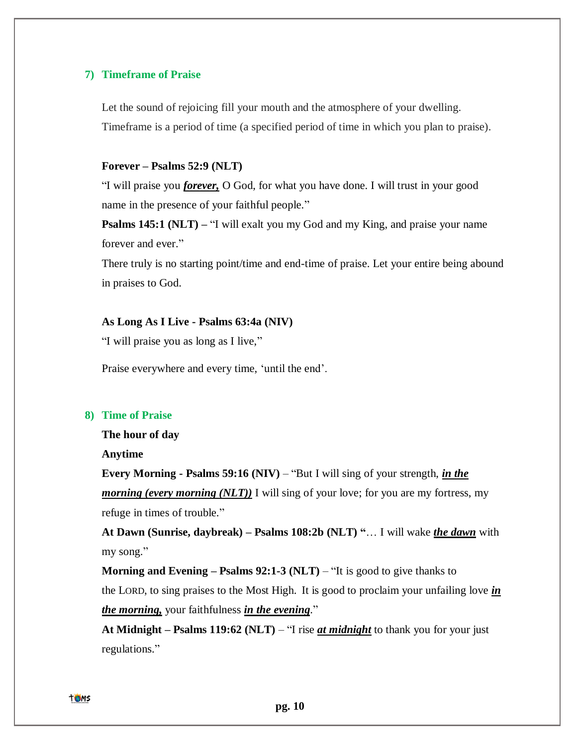### **7) Timeframe of Praise**

Let the sound of rejoicing fill your mouth and the atmosphere of your dwelling. Timeframe is a period of time (a specified period of time in which you plan to praise).

# **Forever – Psalms 52:9 (NLT)**

"I will praise you *forever,* O God, for what you have done. I will trust in your good name in the presence of your faithful people."

**Psalms 145:1 (NLT) – "I** will exalt you my God and my King, and praise your name forever and ever."

There truly is no starting point/time and end-time of praise. Let your entire being abound in praises to God.

#### **As Long As I Live - Psalms 63:4a (NIV)**

"I will praise you as long as I live,"

Praise everywhere and every time, 'until the end'.

### **8) Time of Praise**

**The hour of day**

**Anytime**

**Every Morning - Psalms 59:16 (NIV)** – "But I will sing of your strength, *in the morning (every morning (NLT))* I will sing of your love; for you are my fortress, my refuge in times of trouble."

**At Dawn (Sunrise, daybreak) – Psalms 108:2b (NLT) "**… I will wake *the dawn* with my song."

**Morning and Evening – Psalms 92:1-3 (NLT)** – "It is good to give thanks to the LORD, to sing praises to the Most High. It is good to proclaim your unfailing love *in the morning,* your faithfulness *in the evening*."

**At Midnight – Psalms 119:62 (NLT)** – "I rise *at midnight* to thank you for your just regulations."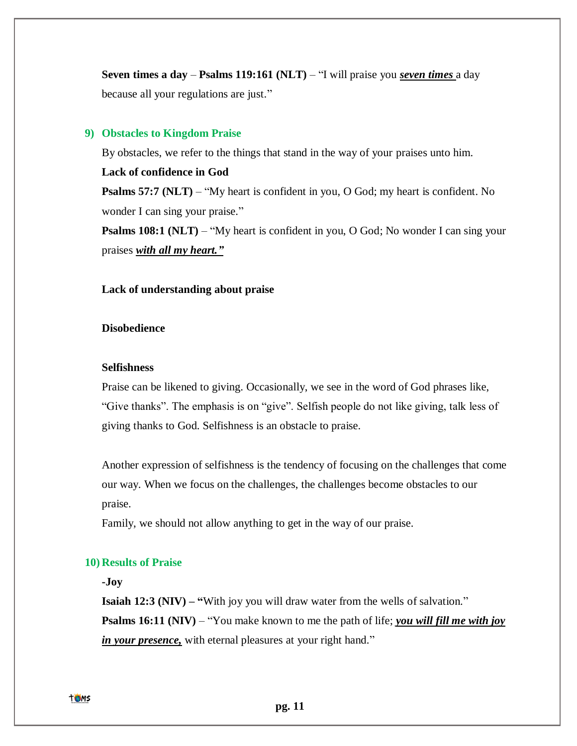**Seven times a day** – **Psalms 119:161 (NLT)** – "I will praise you *seven times* a day because all your regulations are just."

### **9) Obstacles to Kingdom Praise**

By obstacles, we refer to the things that stand in the way of your praises unto him.

# **Lack of confidence in God**

**Psalms 57:7 (NLT)** – "My heart is confident in you, O God; my heart is confident. No wonder I can sing your praise."

**Psalms 108:1 (NLT)** – "My heart is confident in you, O God; No wonder I can sing your praises *with all my heart."*

# **Lack of understanding about praise**

# **Disobedience**

### **Selfishness**

Praise can be likened to giving. Occasionally, we see in the word of God phrases like, "Give thanks". The emphasis is on "give". Selfish people do not like giving, talk less of giving thanks to God. Selfishness is an obstacle to praise.

Another expression of selfishness is the tendency of focusing on the challenges that come our way. When we focus on the challenges, the challenges become obstacles to our praise.

Family, we should not allow anything to get in the way of our praise.

# **10) Results of Praise**

# **-Joy**

**Isaiah 12:3 (NIV) – "With joy you will draw water from the wells of salvation." Psalms 16:11 (NIV)** – "You make known to me the path of life; *you will fill me with joy in your presence,* with eternal pleasures at your right hand."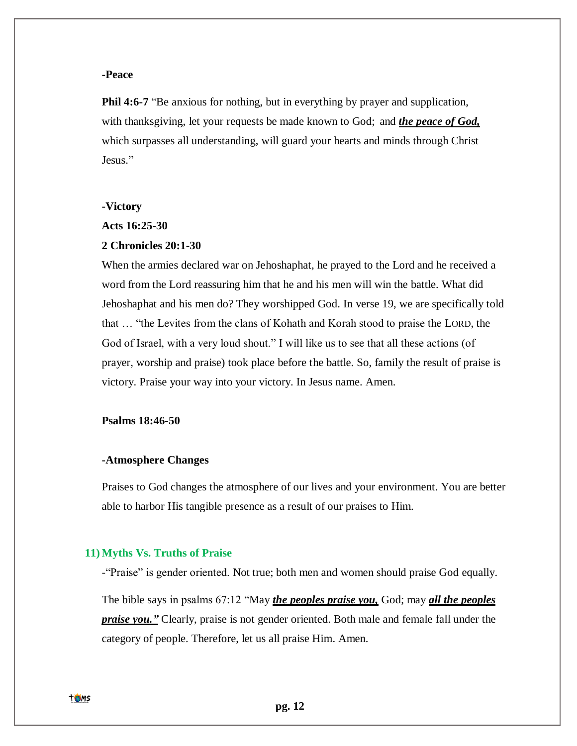# **-Peace**

**Phil 4:6-7** "Be anxious for nothing, but in everything by prayer and supplication, with thanksgiving, let your requests be made known to God; and *the peace of God,* which surpasses all understanding, will guard your hearts and minds through Christ Jesus."

### **-Victory**

### **Acts 16:25-30**

# **2 Chronicles 20:1-30**

When the armies declared war on Jehoshaphat, he prayed to the Lord and he received a word from the Lord reassuring him that he and his men will win the battle. What did Jehoshaphat and his men do? They worshipped God. In verse 19, we are specifically told that … "the Levites from the clans of Kohath and Korah stood to praise the LORD, the God of Israel, with a very loud shout." I will like us to see that all these actions (of prayer, worship and praise) took place before the battle. So, family the result of praise is victory. Praise your way into your victory. In Jesus name. Amen.

# **Psalms 18:46-50**

### **-Atmosphere Changes**

Praises to God changes the atmosphere of our lives and your environment. You are better able to harbor His tangible presence as a result of our praises to Him.

#### **11) Myths Vs. Truths of Praise**

-"Praise" is gender oriented. Not true; both men and women should praise God equally. The bible says in psalms 67:12 "May *the peoples praise you,* God; may *all the peoples praise you."* Clearly, praise is not gender oriented. Both male and female fall under the category of people. Therefore, let us all praise Him. Amen.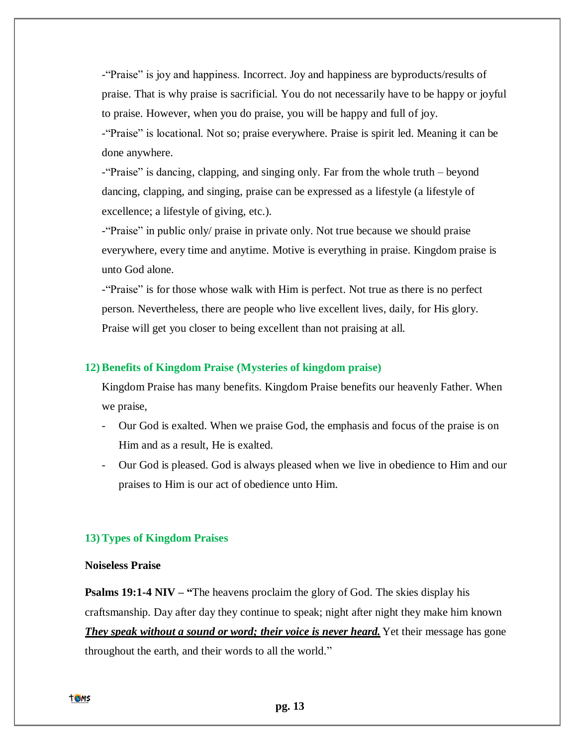-"Praise" is joy and happiness. Incorrect. Joy and happiness are byproducts/results of praise. That is why praise is sacrificial. You do not necessarily have to be happy or joyful to praise. However, when you do praise, you will be happy and full of joy.

-"Praise" is locational. Not so; praise everywhere. Praise is spirit led. Meaning it can be done anywhere.

-"Praise" is dancing, clapping, and singing only. Far from the whole truth – beyond dancing, clapping, and singing, praise can be expressed as a lifestyle (a lifestyle of excellence; a lifestyle of giving, etc.).

-"Praise" in public only/ praise in private only. Not true because we should praise everywhere, every time and anytime. Motive is everything in praise. Kingdom praise is unto God alone.

-"Praise" is for those whose walk with Him is perfect. Not true as there is no perfect person. Nevertheless, there are people who live excellent lives, daily, for His glory. Praise will get you closer to being excellent than not praising at all.

# **12) Benefits of Kingdom Praise (Mysteries of kingdom praise)**

Kingdom Praise has many benefits. Kingdom Praise benefits our heavenly Father. When we praise,

- Our God is exalted. When we praise God, the emphasis and focus of the praise is on Him and as a result, He is exalted.
- Our God is pleased. God is always pleased when we live in obedience to Him and our praises to Him is our act of obedience unto Him.

# **13) Types of Kingdom Praises**

# **Noiseless Praise**

**Psalms 19:1-4 NIV – "**The heavens proclaim the glory of God. The skies display his craftsmanship. Day after day they continue to speak; night after night they make him known *They speak without a sound or word; their voice is never heard.* Yet their message has gone throughout the earth, and their words to all the world."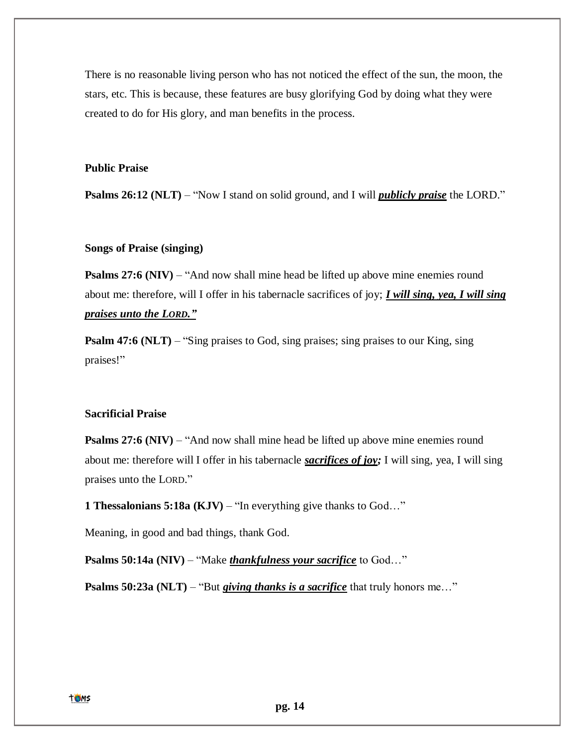There is no reasonable living person who has not noticed the effect of the sun, the moon, the stars, etc. This is because, these features are busy glorifying God by doing what they were created to do for His glory, and man benefits in the process.

# **Public Praise**

**Psalms 26:12 (NLT)** – "Now I stand on solid ground, and I will *publicly praise* the LORD."

# **Songs of Praise (singing)**

**Psalms 27:6 (NIV)** – "And now shall mine head be lifted up above mine enemies round about me: therefore, will I offer in his tabernacle sacrifices of joy; *I will sing, yea, I will sing praises unto the LORD."*

**Psalm 47:6 (NLT)** – "Sing praises to God, sing praises; sing praises to our King, sing praises!"

### **Sacrificial Praise**

**Psalms** 27:6 (NIV) – "And now shall mine head be lifted up above mine enemies round about me: therefore will I offer in his tabernacle *sacrifices of joy;* I will sing, yea, I will sing praises unto the LORD."

**1 Thessalonians 5:18a (KJV)** – "In everything give thanks to God…"

Meaning, in good and bad things, thank God.

**Psalms 50:14a (NIV)** – "Make *thankfulness your sacrifice* to God..."

**Psalms 50:23a (NLT)** – "But *giving thanks is a sacrifice* that truly honors me..."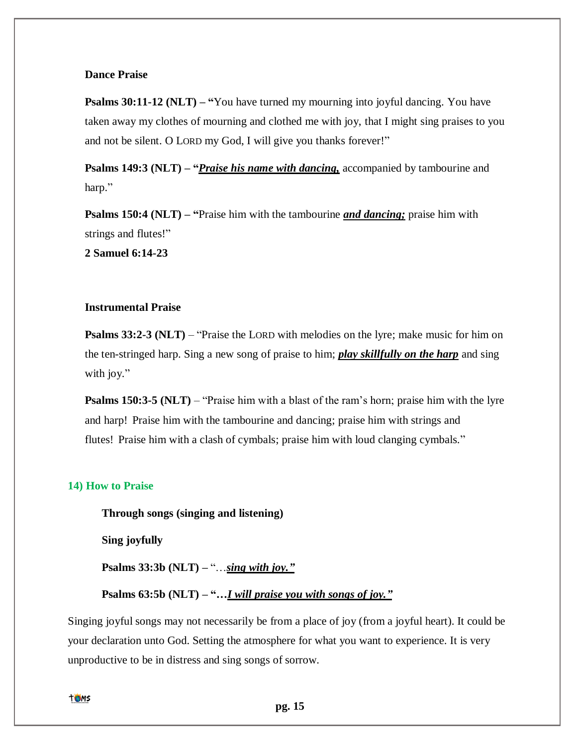# **Dance Praise**

**Psalms 30:11-12 (NLT) – "You have turned my mourning into joyful dancing. You have** taken away my clothes of mourning and clothed me with joy, that I might sing praises to you and not be silent. O LORD my God, I will give you thanks forever!"

**Psalms 149:3 (NLT) – "***Praise his name with dancing,* accompanied by tambourine and harp."

**Psalms 150:4 (NLT) – "**Praise him with the tambourine *and dancing;* praise him with strings and flutes!"

**2 Samuel 6:14-23**

# **Instrumental Praise**

**Psalms 33:2-3 (NLT)** – "Praise the LORD with melodies on the lyre; make music for him on the ten-stringed harp. Sing a new song of praise to him; *play skillfully on the harp* and sing with joy."

**Psalms 150:3-5 (NLT)** – "Praise him with a blast of the ram's horn; praise him with the lyre and harp! Praise him with the tambourine and dancing; praise him with strings and flutes! Praise him with a clash of cymbals; praise him with loud clanging cymbals."

### **14) How to Praise**

**Through songs (singing and listening)**

**Sing joyfully** 

**Psalms 33:3b (NLT) –** "…*sing with joy."*

**Psalms 63:5b (NLT) – "…***I will praise you with songs of joy."*

Singing joyful songs may not necessarily be from a place of joy (from a joyful heart). It could be your declaration unto God. Setting the atmosphere for what you want to experience. It is very unproductive to be in distress and sing songs of sorrow.

toms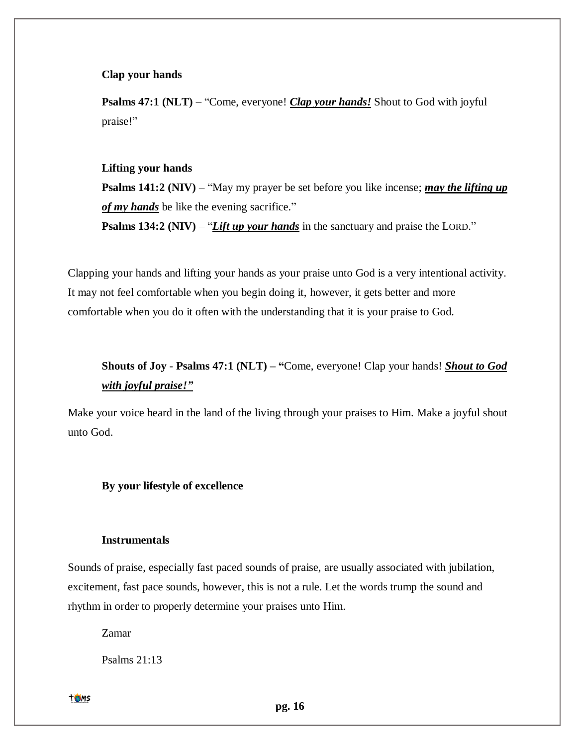### **Clap your hands**

**Psalms 47:1 (NLT)** – "Come, everyone! *Clap your hands!* Shout to God with joyful praise!"

### **Lifting your hands**

**Psalms 141:2 (NIV)** – "May my prayer be set before you like incense; *may the lifting up of my hands* be like the evening sacrifice."

**Psalms 134:2 (NIV)** – "*Lift up your hands* in the sanctuary and praise the LORD."

Clapping your hands and lifting your hands as your praise unto God is a very intentional activity. It may not feel comfortable when you begin doing it, however, it gets better and more comfortable when you do it often with the understanding that it is your praise to God.

# **Shouts of Joy** - **Psalms 47:1 (NLT) – "**Come, everyone! Clap your hands! *Shout to God with joyful praise!"*

Make your voice heard in the land of the living through your praises to Him. Make a joyful shout unto God.

### **By your lifestyle of excellence**

#### **Instrumentals**

Sounds of praise, especially fast paced sounds of praise, are usually associated with jubilation, excitement, fast pace sounds, however, this is not a rule. Let the words trump the sound and rhythm in order to properly determine your praises unto Him.

Zamar

Psalms 21:13

toms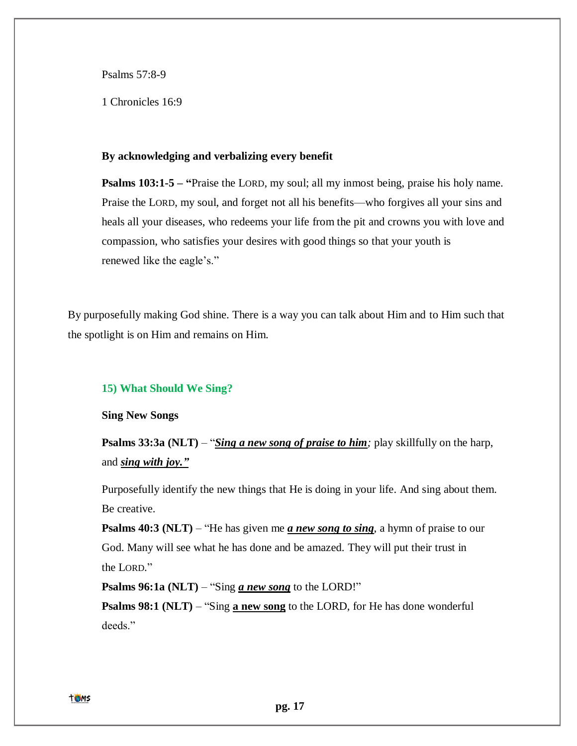Psalms 57:8-9

1 Chronicles 16:9

#### **By acknowledging and verbalizing every benefit**

**Psalms [103:1-5](https://bible.knowing-jesus.com/Psalm/103/1) – "**Praise the LORD, my soul; all my inmost being, praise his holy name. Praise the LORD, my soul, and forget not all his benefits—who forgives all your sins and heals all your diseases, who redeems your life from the pit and crowns you with love and compassion, who satisfies your desires with good things so that your youth is renewed like the eagle's."

By purposefully making God shine. There is a way you can talk about Him and to Him such that the spotlight is on Him and remains on Him.

# **15) What Should We Sing?**

**Sing New Songs**

**Psalms 33:3a (NLT)** – "*Sing a new song of praise to him*; play skillfully on the harp, and *sing with joy."*

Purposefully identify the new things that He is doing in your life. And sing about them. Be creative.

**Psalms 40:3 (NLT)** – "He has given me *a* **new song to sing**, a hymn of praise to our God. Many will see what he has done and be amazed. They will put their trust in the LORD."

**Psalms 96:1a (NLT)** – "Sing *a new song* to the LORD!"

**Psalms 98:1 (NLT) – "Sing <b>a new song** to the LORD, for He has done wonderful deeds."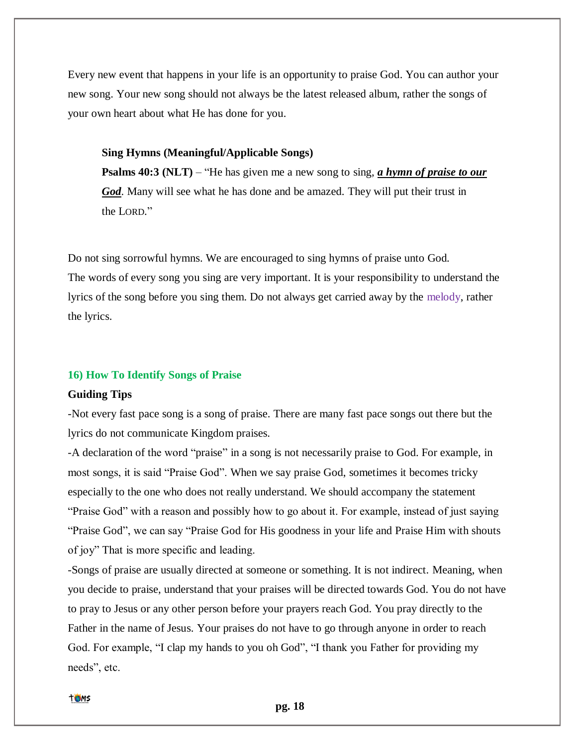Every new event that happens in your life is an opportunity to praise God. You can author your new song. Your new song should not always be the latest released album, rather the songs of your own heart about what He has done for you.

#### **Sing Hymns (Meaningful/Applicable Songs)**

**Psalms 40:3 (NLT)** – "He has given me a new song to sing, *a hymn of praise to our God*. Many will see what he has done and be amazed. They will put their trust in the LORD."

Do not sing sorrowful hymns. We are encouraged to sing hymns of praise unto God. The words of every song you sing are very important. It is your responsibility to understand the lyrics of the song before you sing them. Do not always get carried away by the melody, rather the lyrics.

#### **16) How To Identify Songs of Praise**

#### **Guiding Tips**

-Not every fast pace song is a song of praise. There are many fast pace songs out there but the lyrics do not communicate Kingdom praises.

-A declaration of the word "praise" in a song is not necessarily praise to God. For example, in most songs, it is said "Praise God". When we say praise God, sometimes it becomes tricky especially to the one who does not really understand. We should accompany the statement "Praise God" with a reason and possibly how to go about it. For example, instead of just saying "Praise God", we can say "Praise God for His goodness in your life and Praise Him with shouts of joy" That is more specific and leading.

-Songs of praise are usually directed at someone or something. It is not indirect. Meaning, when you decide to praise, understand that your praises will be directed towards God. You do not have to pray to Jesus or any other person before your prayers reach God. You pray directly to the Father in the name of Jesus. Your praises do not have to go through anyone in order to reach God. For example, "I clap my hands to you oh God", "I thank you Father for providing my needs", etc.

#### **TOMS**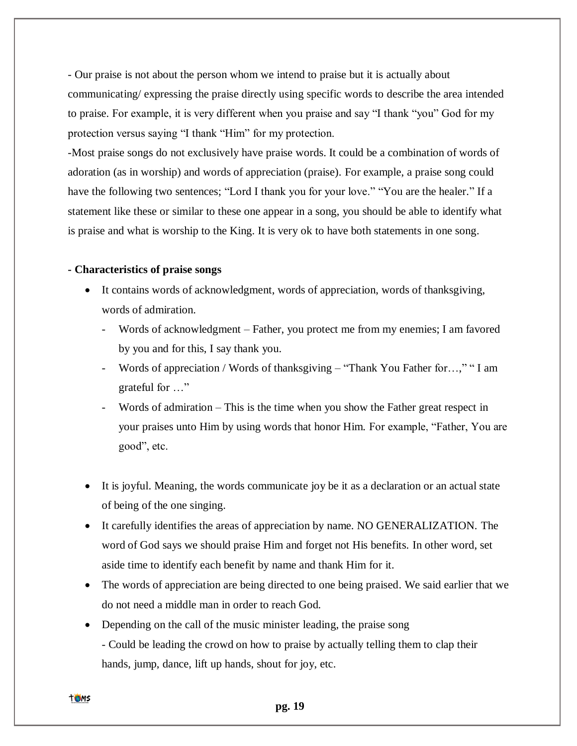- Our praise is not about the person whom we intend to praise but it is actually about communicating/ expressing the praise directly using specific words to describe the area intended to praise. For example, it is very different when you praise and say "I thank "you" God for my protection versus saying "I thank "Him" for my protection.

-Most praise songs do not exclusively have praise words. It could be a combination of words of adoration (as in worship) and words of appreciation (praise). For example, a praise song could have the following two sentences; "Lord I thank you for your love." "You are the healer." If a statement like these or similar to these one appear in a song, you should be able to identify what is praise and what is worship to the King. It is very ok to have both statements in one song.

# **- Characteristics of praise songs**

- It contains words of acknowledgment, words of appreciation, words of thanksgiving, words of admiration.
	- Words of acknowledgment Father, you protect me from my enemies; I am favored by you and for this, I say thank you.
	- Words of appreciation / Words of thanksgiving "Thank You Father for…," " I am grateful for …"
	- Words of admiration  $-$  This is the time when you show the Father great respect in your praises unto Him by using words that honor Him. For example, "Father, You are good", etc.
- It is joyful. Meaning, the words communicate joy be it as a declaration or an actual state of being of the one singing.
- It carefully identifies the areas of appreciation by name. NO GENERALIZATION. The word of God says we should praise Him and forget not His benefits. In other word, set aside time to identify each benefit by name and thank Him for it.
- The words of appreciation are being directed to one being praised. We said earlier that we do not need a middle man in order to reach God.
- Depending on the call of the music minister leading, the praise song - Could be leading the crowd on how to praise by actually telling them to clap their hands, jump, dance, lift up hands, shout for joy, etc.